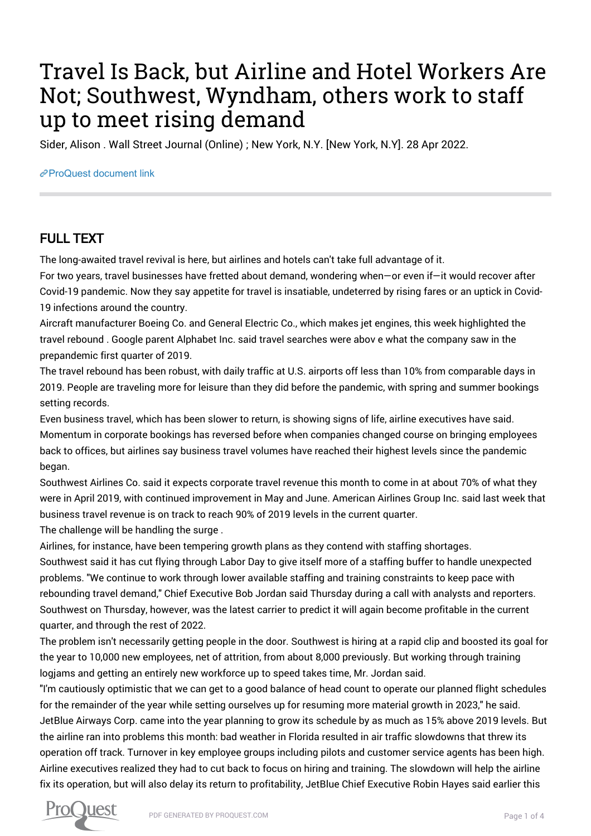## Travel Is Back, but Airline and Hotel Workers Are Not; Southwest, Wyndham, others work to staff up to meet rising demand

Sider, Alison . Wall Street Journal (Online) ; New York, N.Y. [New York, N.Y]. 28 Apr 2022.

[ProQuest document link](https://www.proquest.com/newspapers/travel-is-back-airline-hotel-workers-are-not/docview/2656216606/se-2?accountid=44910)

## FULL TEXT

The long-awaited travel revival is here, but airlines and hotels can't take full advantage of it.

For two years, travel businesses have fretted about demand, wondering when—or even if—it would recover after Covid-19 pandemic. Now they say appetite for travel is insatiable, undeterred by rising fares or an uptick in Covid-19 infections around the country.

Aircraft manufacturer Boeing Co. and General Electric Co., which makes jet engines, this week highlighted the travel rebound . Google parent Alphabet Inc. said travel searches were abov e what the company saw in the prepandemic first quarter of 2019.

The travel rebound has been robust, with daily traffic at U.S. airports off less than 10% from comparable days in 2019. People are traveling more for leisure than they did before the pandemic, with spring and summer bookings setting records.

Even business travel, which has been slower to return, is showing signs of life, airline executives have said. Momentum in corporate bookings has reversed before when companies changed course on bringing employees back to offices, but airlines say business travel volumes have reached their highest levels since the pandemic began.

Southwest Airlines Co. said it expects corporate travel revenue this month to come in at about 70% of what they were in April 2019, with continued improvement in May and June. American Airlines Group Inc. said last week that business travel revenue is on track to reach 90% of 2019 levels in the current quarter.

The challenge will be handling the surge .

Airlines, for instance, have been tempering growth plans as they contend with staffing shortages.

Southwest said it has cut flying through Labor Day to give itself more of a staffing buffer to handle unexpected problems. "We continue to work through lower available staffing and training constraints to keep pace with rebounding travel demand," Chief Executive Bob Jordan said Thursday during a call with analysts and reporters. Southwest on Thursday, however, was the latest carrier to predict it will again become profitable in the current quarter, and through the rest of 2022.

The problem isn't necessarily getting people in the door. Southwest is hiring at a rapid clip and boosted its goal for the year to 10,000 new employees, net of attrition, from about 8,000 previously. But working through training logjams and getting an entirely new workforce up to speed takes time, Mr. Jordan said.

"I'm cautiously optimistic that we can get to a good balance of head count to operate our planned flight schedules for the remainder of the year while setting ourselves up for resuming more material growth in 2023," he said. JetBlue Airways Corp. came into the year planning to grow its schedule by as much as 15% above 2019 levels. But the airline ran into problems this month: bad weather in Florida resulted in air traffic slowdowns that threw its operation off track. Turnover in key employee groups including pilots and customer service agents has been high. Airline executives realized they had to cut back to focus on hiring and training. The slowdown will help the airline fix its operation, but will also delay its return to profitability, JetBlue Chief Executive Robin Hayes said earlier this

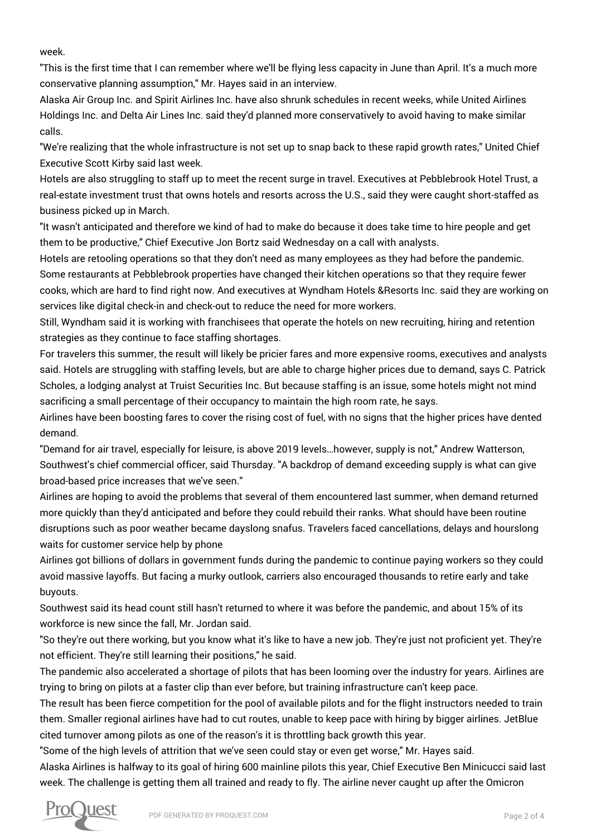week.

"This is the first time that I can remember where we'll be flying less capacity in June than April. It's a much more conservative planning assumption," Mr. Hayes said in an interview.

Alaska Air Group Inc. and Spirit Airlines Inc. have also shrunk schedules in recent weeks, while United Airlines Holdings Inc. and Delta Air Lines Inc. said they'd planned more conservatively to avoid having to make similar calls.

"We're realizing that the whole infrastructure is not set up to snap back to these rapid growth rates," United Chief Executive Scott Kirby said last week.

Hotels are also struggling to staff up to meet the recent surge in travel. Executives at Pebblebrook Hotel Trust, a real-estate investment trust that owns hotels and resorts across the U.S., said they were caught short-staffed as business picked up in March.

"It wasn't anticipated and therefore we kind of had to make do because it does take time to hire people and get them to be productive," Chief Executive Jon Bortz said Wednesday on a call with analysts.

Hotels are retooling operations so that they don't need as many employees as they had before the pandemic. Some restaurants at Pebblebrook properties have changed their kitchen operations so that they require fewer cooks, which are hard to find right now. And executives at Wyndham Hotels &Resorts Inc. said they are working on services like digital check-in and check-out to reduce the need for more workers.

Still, Wyndham said it is working with franchisees that operate the hotels on new recruiting, hiring and retention strategies as they continue to face staffing shortages.

For travelers this summer, the result will likely be pricier fares and more expensive rooms, executives and analysts said. Hotels are struggling with staffing levels, but are able to charge higher prices due to demand, says C. Patrick Scholes, a lodging analyst at Truist Securities Inc. But because staffing is an issue, some hotels might not mind sacrificing a small percentage of their occupancy to maintain the high room rate, he says.

Airlines have been boosting fares to cover the rising cost of fuel, with no signs that the higher prices have dented demand.

"Demand for air travel, especially for leisure, is above 2019 levels…however, supply is not," Andrew Watterson, Southwest's chief commercial officer, said Thursday. "A backdrop of demand exceeding supply is what can give broad-based price increases that we've seen."

Airlines are hoping to avoid the problems that several of them encountered last summer, when demand returned more quickly than they'd anticipated and before they could rebuild their ranks. What should have been routine disruptions such as poor weather became dayslong snafus. Travelers faced cancellations, delays and hourslong waits for customer service help by phone

Airlines got billions of dollars in government funds during the pandemic to continue paying workers so they could avoid massive layoffs. But facing a murky outlook, carriers also encouraged thousands to retire early and take buyouts.

Southwest said its head count still hasn't returned to where it was before the pandemic, and about 15% of its workforce is new since the fall, Mr. Jordan said.

"So they're out there working, but you know what it's like to have a new job. They're just not proficient yet. They're not efficient. They're still learning their positions," he said.

The pandemic also accelerated a shortage of pilots that has been looming over the industry for years. Airlines are trying to bring on pilots at a faster clip than ever before, but training infrastructure can't keep pace.

The result has been fierce competition for the pool of available pilots and for the flight instructors needed to train them. Smaller regional airlines have had to cut routes, unable to keep pace with hiring by bigger airlines. JetBlue cited turnover among pilots as one of the reason's it is throttling back growth this year.

"Some of the high levels of attrition that we've seen could stay or even get worse," Mr. Hayes said.

Alaska Airlines is halfway to its goal of hiring 600 mainline pilots this year, Chief Executive Ben Minicucci said last week. The challenge is getting them all trained and ready to fly. The airline never caught up after the Omicron

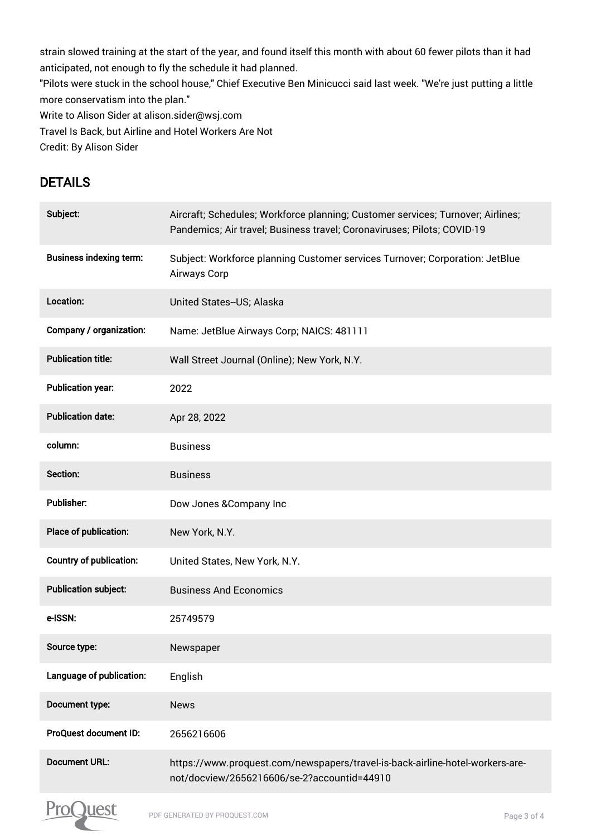strain slowed training at the start of the year, and found itself this month with about 60 fewer pilots than it had anticipated, not enough to fly the schedule it had planned. "Pilots were stuck in the school house," Chief Executive Ben Minicucci said last week. "We're just putting a little more conservatism into the plan." Write to Alison Sider at alison.sider@wsj.com Travel Is Back, but Airline and Hotel Workers Are Not Credit: By Alison Sider

## DETAILS

| Subject:                       | Aircraft; Schedules; Workforce planning; Customer services; Turnover; Airlines;<br>Pandemics; Air travel; Business travel; Coronaviruses; Pilots; COVID-19 |
|--------------------------------|------------------------------------------------------------------------------------------------------------------------------------------------------------|
| <b>Business indexing term:</b> | Subject: Workforce planning Customer services Turnover; Corporation: JetBlue<br>Airways Corp                                                               |
| Location:                      | United States--US; Alaska                                                                                                                                  |
| Company / organization:        | Name: JetBlue Airways Corp; NAICS: 481111                                                                                                                  |
| <b>Publication title:</b>      | Wall Street Journal (Online); New York, N.Y.                                                                                                               |
| <b>Publication year:</b>       | 2022                                                                                                                                                       |
| <b>Publication date:</b>       | Apr 28, 2022                                                                                                                                               |
| column:                        | <b>Business</b>                                                                                                                                            |
| Section:                       | <b>Business</b>                                                                                                                                            |
| Publisher:                     | Dow Jones & Company Inc                                                                                                                                    |
| Place of publication:          | New York, N.Y.                                                                                                                                             |
| <b>Country of publication:</b> | United States, New York, N.Y.                                                                                                                              |
| <b>Publication subject:</b>    | <b>Business And Economics</b>                                                                                                                              |
| e-ISSN:                        | 25749579                                                                                                                                                   |
| Source type:                   | Newspaper                                                                                                                                                  |
| Language of publication:       | English                                                                                                                                                    |
| Document type:                 | <b>News</b>                                                                                                                                                |
| ProQuest document ID:          | 2656216606                                                                                                                                                 |
| <b>Document URL:</b>           | https://www.proquest.com/newspapers/travel-is-back-airline-hotel-workers-are-<br>not/docview/2656216606/se-2?accountid=44910                               |